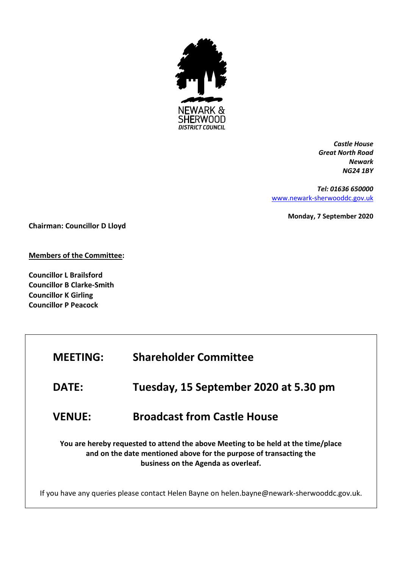

*Castle House Great North Road Newark NG24 1BY*

*Tel: 01636 650000* [www.newark-sherwooddc.gov.uk](http://www.newark-sherwooddc.gov.uk/)

**Monday, 7 September 2020**

**Chairman: Councillor D Lloyd**

**Members of the Committee:**

**Councillor L Brailsford Councillor B Clarke-Smith Councillor K Girling Councillor P Peacock**

| <b>MEETING:</b>                                                                                                                                                                                | <b>Shareholder Committee</b>          |  |
|------------------------------------------------------------------------------------------------------------------------------------------------------------------------------------------------|---------------------------------------|--|
| <b>DATE:</b>                                                                                                                                                                                   | Tuesday, 15 September 2020 at 5.30 pm |  |
| <b>VENUE:</b>                                                                                                                                                                                  | <b>Broadcast from Castle House</b>    |  |
| You are hereby requested to attend the above Meeting to be held at the time/place<br>and on the date mentioned above for the purpose of transacting the<br>business on the Agenda as overleaf. |                                       |  |
| If you have any queries please contact Helen Bayne on helen.bayne@newark-sherwooddc.gov.uk.                                                                                                    |                                       |  |